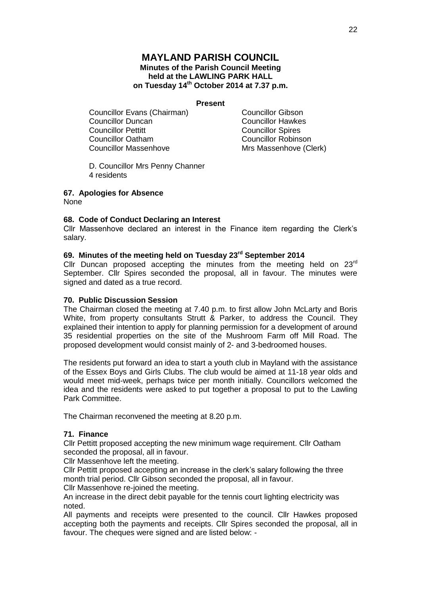## **MAYLAND PARISH COUNCIL Minutes of the Parish Council Meeting held at the LAWLING PARK HALL on Tuesday 14th October 2014 at 7.37 p.m.**

### **Present**

Councillor Evans (Chairman) Councillor Gibson **Councillor Duncan** Councillor Hawkes<br>
Councillor Pettitt Councillor Spires Councillor Oatham Councillor Robinson Councillor Massenhove Mrs Massenhove (Clerk)

**Councillor Spires** 

D. Councillor Mrs Penny Channer 4 residents

### **67. Apologies for Absence**

None

### **68. Code of Conduct Declaring an Interest**

Cllr Massenhove declared an interest in the Finance item regarding the Clerk's salary.

## **69. Minutes of the meeting held on Tuesday 23rd September 2014**

Cllr Duncan proposed accepting the minutes from the meeting held on  $23<sup>rd</sup>$ September. Cllr Spires seconded the proposal, all in favour. The minutes were signed and dated as a true record.

### **70. Public Discussion Session**

The Chairman closed the meeting at 7.40 p.m. to first allow John McLarty and Boris White, from property consultants Strutt & Parker, to address the Council. They explained their intention to apply for planning permission for a development of around 35 residential properties on the site of the Mushroom Farm off Mill Road. The proposed development would consist mainly of 2- and 3-bedroomed houses.

The residents put forward an idea to start a youth club in Mayland with the assistance of the Essex Boys and Girls Clubs. The club would be aimed at 11-18 year olds and would meet mid-week, perhaps twice per month initially. Councillors welcomed the idea and the residents were asked to put together a proposal to put to the Lawling Park Committee.

The Chairman reconvened the meeting at 8.20 p.m.

#### **71. Finance**

Cllr Pettitt proposed accepting the new minimum wage requirement. Cllr Oatham seconded the proposal, all in favour.

Cllr Massenhove left the meeting.

Cllr Pettitt proposed accepting an increase in the clerk's salary following the three month trial period. Cllr Gibson seconded the proposal, all in favour.

Cllr Massenhove re-joined the meeting.

An increase in the direct debit payable for the tennis court lighting electricity was noted.

All payments and receipts were presented to the council. Cllr Hawkes proposed accepting both the payments and receipts. Cllr Spires seconded the proposal, all in favour. The cheques were signed and are listed below: -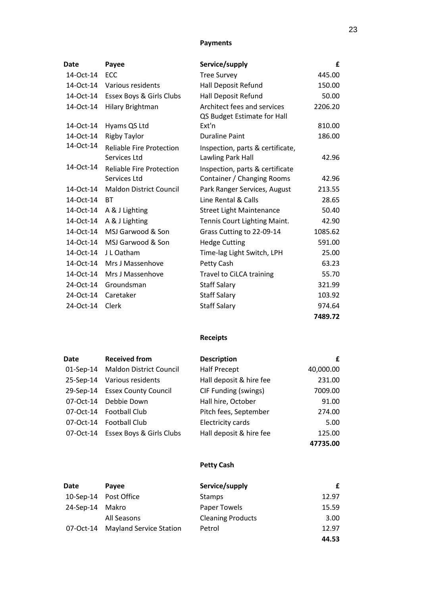## **Payments**

| Date      | Payee                                           | Service/supply                                                | £       |
|-----------|-------------------------------------------------|---------------------------------------------------------------|---------|
| 14-Oct-14 | <b>ECC</b>                                      | <b>Tree Survey</b>                                            | 445.00  |
| 14-Oct-14 | Various residents                               | Hall Deposit Refund                                           | 150.00  |
| 14-Oct-14 | <b>Essex Boys &amp; Girls Clubs</b>             | Hall Deposit Refund                                           | 50.00   |
| 14-Oct-14 | Hilary Brightman                                | Architect fees and services<br>QS Budget Estimate for Hall    | 2206.20 |
| 14-Oct-14 | Hyams QS Ltd                                    | Ext'n                                                         | 810.00  |
| 14-Oct-14 | <b>Rigby Taylor</b>                             | <b>Duraline Paint</b>                                         | 186.00  |
| 14-Oct-14 | <b>Reliable Fire Protection</b><br>Services Ltd | Inspection, parts & certificate,<br>Lawling Park Hall         | 42.96   |
| 14-Oct-14 | <b>Reliable Fire Protection</b><br>Services Ltd | Inspection, parts & certificate<br>Container / Changing Rooms | 42.96   |
| 14-Oct-14 | <b>Maldon District Council</b>                  | Park Ranger Services, August                                  | 213.55  |
| 14-Oct-14 | <b>BT</b>                                       | Line Rental & Calls                                           | 28.65   |
| 14-Oct-14 | A & J Lighting                                  | <b>Street Light Maintenance</b>                               | 50.40   |
| 14-Oct-14 | A & J Lighting                                  | Tennis Court Lighting Maint.                                  | 42.90   |
| 14-Oct-14 | MSJ Garwood & Son                               | Grass Cutting to 22-09-14                                     | 1085.62 |
| 14-Oct-14 | MSJ Garwood & Son                               | <b>Hedge Cutting</b>                                          | 591.00  |
| 14-Oct-14 | J L Oatham                                      | Time-lag Light Switch, LPH                                    | 25.00   |
| 14-Oct-14 | Mrs J Massenhove                                | Petty Cash                                                    | 63.23   |
| 14-Oct-14 | Mrs J Massenhove                                | Travel to CiLCA training                                      | 55.70   |
| 24-Oct-14 | Groundsman                                      | <b>Staff Salary</b>                                           | 321.99  |
| 24-Oct-14 | Caretaker                                       | <b>Staff Salary</b>                                           | 103.92  |
| 24-Oct-14 | Clerk                                           | <b>Staff Salary</b>                                           | 974.64  |
|           |                                                 |                                                               | 7489.72 |

# **Receipts**

| Date      | <b>Received from</b>               | <b>Description</b>       | £         |
|-----------|------------------------------------|--------------------------|-----------|
|           | 01-Sep-14 Maldon District Council  | <b>Half Precept</b>      | 40,000.00 |
| 25-Sep-14 | Various residents                  | Hall deposit & hire fee  | 231.00    |
| 29-Sep-14 | <b>Essex County Council</b>        | CIF Funding (swings)     | 7009.00   |
|           | 07-Oct-14 Debbie Down              | Hall hire, October       | 91.00     |
|           | 07-Oct-14 Football Club            | Pitch fees, September    | 274.00    |
| 07-Oct-14 | <b>Football Club</b>               | <b>Electricity cards</b> | 5.00      |
|           | 07-Oct-14 Essex Boys & Girls Clubs | Hall deposit & hire fee  | 125.00    |
|           |                                    |                          | 47735.00  |

# **Petty Cash**

| Date      | Payee                          | Service/supply           | £     |
|-----------|--------------------------------|--------------------------|-------|
|           | 10-Sep-14 Post Office          | <b>Stamps</b>            | 12.97 |
| 24-Sep-14 | Makro                          | Paper Towels             | 15.59 |
|           | All Seasons                    | <b>Cleaning Products</b> | 3.00  |
| 07-Oct-14 | <b>Mayland Service Station</b> | Petrol                   | 12.97 |
|           |                                |                          | 44.53 |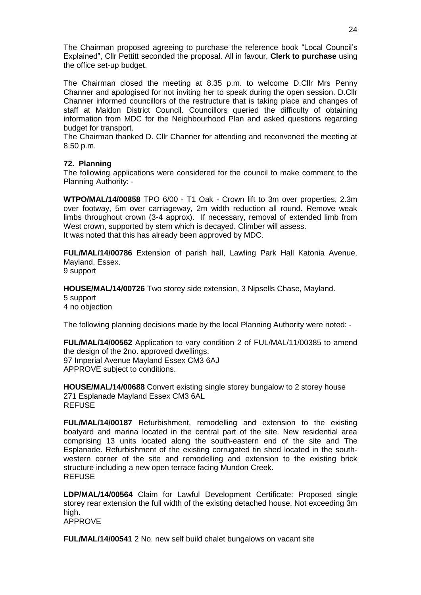The Chairman proposed agreeing to purchase the reference book "Local Council's Explained", Cllr Pettitt seconded the proposal. All in favour, **Clerk to purchase** using the office set-up budget.

The Chairman closed the meeting at 8.35 p.m. to welcome D.Cllr Mrs Penny Channer and apologised for not inviting her to speak during the open session. D.Cllr Channer informed councillors of the restructure that is taking place and changes of staff at Maldon District Council. Councillors queried the difficulty of obtaining information from MDC for the Neighbourhood Plan and asked questions regarding budget for transport.

The Chairman thanked D. Cllr Channer for attending and reconvened the meeting at 8.50 p.m.

### **72. Planning**

The following applications were considered for the council to make comment to the Planning Authority: -

**WTPO/MAL/14/00858** TPO 6/00 - T1 Oak - Crown lift to 3m over properties, 2.3m over footway, 5m over carriageway, 2m width reduction all round. Remove weak limbs throughout crown (3-4 approx). If necessary, removal of extended limb from West crown, supported by stem which is decayed. Climber will assess. It was noted that this has already been approved by MDC.

**FUL/MAL/14/00786** Extension of parish hall, Lawling Park Hall Katonia Avenue, Mayland, Essex. 9 support

**HOUSE/MAL/14/00726** Two storey side extension, 3 Nipsells Chase, Mayland.

5 support

4 no objection

The following planning decisions made by the local Planning Authority were noted: -

**FUL/MAL/14/00562** Application to vary condition 2 of FUL/MAL/11/00385 to amend the design of the 2no. approved dwellings. 97 Imperial Avenue Mayland Essex CM3 6AJ APPROVE subject to conditions.

**HOUSE/MAL/14/00688** Convert existing single storey bungalow to 2 storey house 271 Esplanade Mayland Essex CM3 6AL REFUSE

**FUL/MAL/14/00187** Refurbishment, remodelling and extension to the existing boatyard and marina located in the central part of the site. New residential area comprising 13 units located along the south-eastern end of the site and The Esplanade. Refurbishment of the existing corrugated tin shed located in the southwestern corner of the site and remodelling and extension to the existing brick structure including a new open terrace facing Mundon Creek. REFUSE

**LDP/MAL/14/00564** Claim for Lawful Development Certificate: Proposed single storey rear extension the full width of the existing detached house. Not exceeding 3m high. APPROVE

**FUL/MAL/14/00541** 2 No. new self build chalet bungalows on vacant site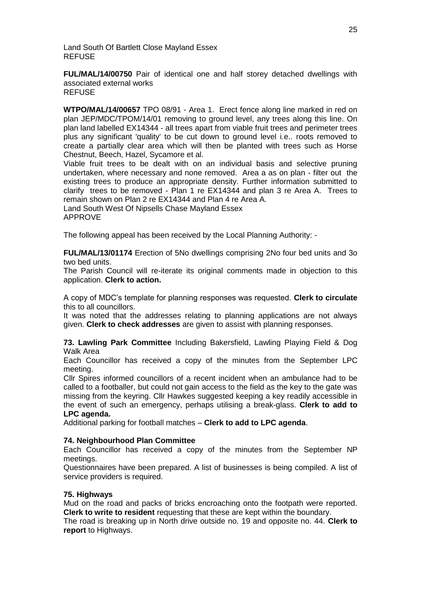Land South Of Bartlett Close Mayland Essex REFUSE

**FUL/MAL/14/00750** Pair of identical one and half storey detached dwellings with associated external works **REFUSE** 

**WTPO/MAL/14/00657** TPO 08/91 - Area 1. Erect fence along line marked in red on plan JEP/MDC/TPOM/14/01 removing to ground level, any trees along this line. On plan land labelled EX14344 - all trees apart from viable fruit trees and perimeter trees plus any significant 'quality' to be cut down to ground level i.e.. roots removed to create a partially clear area which will then be planted with trees such as Horse Chestnut, Beech, Hazel, Sycamore et al.

Viable fruit trees to be dealt with on an individual basis and selective pruning undertaken, where necessary and none removed. Area a as on plan - filter out the existing trees to produce an appropriate density. Further information submitted to clarify trees to be removed - Plan 1 re EX14344 and plan 3 re Area A. Trees to remain shown on Plan 2 re EX14344 and Plan 4 re Area A.

Land South West Of Nipsells Chase Mayland Essex APPROVE

The following appeal has been received by the Local Planning Authority: -

**FUL/MAL/13/01174** Erection of 5No dwellings comprising 2No four bed units and 3o two bed units.

The Parish Council will re-iterate its original comments made in objection to this application. **Clerk to action.**

A copy of MDC's template for planning responses was requested. **Clerk to circulate** this to all councillors.

It was noted that the addresses relating to planning applications are not always given. **Clerk to check addresses** are given to assist with planning responses.

**73. Lawling Park Committee** Including Bakersfield, Lawling Playing Field & Dog Walk Area

Each Councillor has received a copy of the minutes from the September LPC meeting.

Cllr Spires informed councillors of a recent incident when an ambulance had to be called to a footballer, but could not gain access to the field as the key to the gate was missing from the keyring. Cllr Hawkes suggested keeping a key readily accessible in the event of such an emergency, perhaps utilising a break-glass. **Clerk to add to LPC agenda.**

Additional parking for football matches – **Clerk to add to LPC agenda**.

### **74. Neighbourhood Plan Committee**

Each Councillor has received a copy of the minutes from the September NP meetings.

Questionnaires have been prepared. A list of businesses is being compiled. A list of service providers is required.

### **75. Highways**

Mud on the road and packs of bricks encroaching onto the footpath were reported. **Clerk to write to resident** requesting that these are kept within the boundary.

The road is breaking up in North drive outside no. 19 and opposite no. 44. **Clerk to report** to Highways.